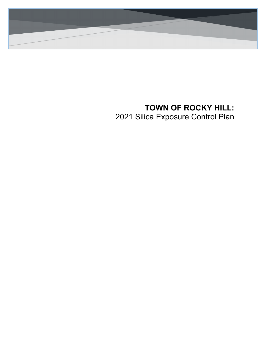

# **TOWN OF ROCKY HILL:** 2021 Silica Exposure Control Plan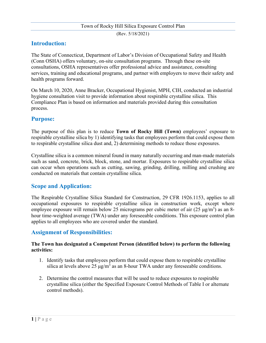(Rev. 5/18/2021)

# **Introduction:**

The State of Connecticut, Department of Labor's Division of Occupational Safety and Health (Conn OSHA) offers voluntary, on-site consultation programs. Through these on-site consultations, OSHA representatives offer professional advice and assistance, consulting services, training and educational programs, and partner with employers to move their safety and health programs forward.

On March 10, 2020, Anne Bracker, Occupational Hygienist, MPH, CIH, conducted an industrial hygiene consultation visit to provide information about respirable crystalline silica. This Compliance Plan is based on information and materials provided during this consultation process.

# **Purpose:**

The purpose of this plan is to reduce **Town of Rocky Hill (Town)** employees' exposure to respirable crystalline silica by 1) identifying tasks that employees perform that could expose them to respirable crystalline silica dust and, 2) determining methods to reduce those exposures.

Crystalline silica is a common mineral found in many naturally occurring and man-made materials such as sand, concrete, brick, block, stone, and mortar. Exposures to respirable crystalline silica can occur when operations such as cutting, sawing, grinding, drilling, milling and crushing are conducted on materials that contain crystalline silica.

# **Scope and Application:**

The Respirable Crystalline Silica Standard for Construction, 29 CFR 1926.1153, applies to all occupational exposures to respirable crystalline silica in construction work, except where employee exposure will remain below 25 micrograms per cubic meter of air  $(25 \text{ }\mu\text{g/m}^3)$  as an 8hour time-weighted average (TWA) under any foreseeable conditions. This exposure control plan applies to all employees who are covered under the standard.

# **Assignment of Responsibilities:**

#### **The Town has designated a Competent Person (identified below) to perform the following activities:**

- 1. Identify tasks that employees perform that could expose them to respirable crystalline silica at levels above 25  $\mu$ g/m<sup>3</sup> as an 8-hour TWA under any foreseeable conditions.
- 2. Determine the control measures that will be used to reduce exposures to respirable crystalline silica (either the Specified Exposure Control Methods of Table I or alternate control methods).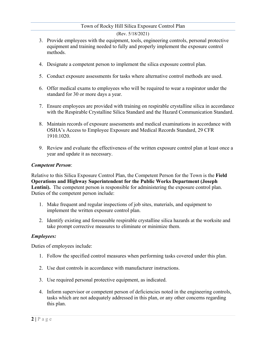#### (Rev. 5/18/2021)

- 3. Provide employees with the equipment, tools, engineering controls, personal protective equipment and training needed to fully and properly implement the exposure control methods.
- 4. Designate a competent person to implement the silica exposure control plan.
- 5. Conduct exposure assessments for tasks where alternative control methods are used.
- 6. Offer medical exams to employees who will be required to wear a respirator under the standard for 30 or more days a year.
- 7. Ensure employees are provided with training on respirable crystalline silica in accordance with the Respirable Crystalline Silica Standard and the Hazard Communication Standard.
- 8. Maintain records of exposure assessments and medical examinations in accordance with OSHA's Access to Employee Exposure and Medical Records Standard, 29 CFR 1910.1020.
- 9. Review and evaluate the effectiveness of the written exposure control plan at least once a year and update it as necessary.

#### *Competent Person*:

Relative to this Silica Exposure Control Plan, the Competent Person for the Town is the **Field Operations and Highway Superintendent for the Public Works Department (Joseph**  Lentini). The competent person is responsible for administering the exposure control plan. Duties of the competent person include:

- 1. Make frequent and regular inspections of job sites, materials, and equipment to implement the written exposure control plan.
- 2. Identify existing and foreseeable respirable crystalline silica hazards at the worksite and take prompt corrective measures to eliminate or minimize them.

### *Employees:*

Duties of employees include:

- 1. Follow the specified control measures when performing tasks covered under this plan.
- 2. Use dust controls in accordance with manufacturer instructions.
- 3. Use required personal protective equipment, as indicated.
- 4. Inform supervisor or competent person of deficiencies noted in the engineering controls, tasks which are not adequately addressed in this plan, or any other concerns regarding this plan.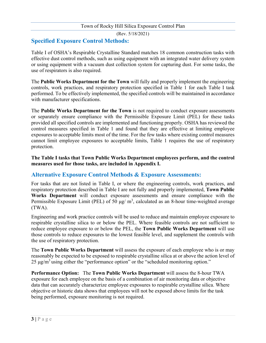# **Specified Exposure Control Methods:**

Table I of OSHA's Respirable Crystalline Standard matches 18 common construction tasks with effective dust control methods, such as using equipment with an integrated water delivery system or using equipment with a vacuum dust collection system for capturing dust. For some tasks, the use of respirators is also required.

The **Public Works Department for the Town** will fully and properly implement the engineering controls, work practices, and respiratory protection specified in Table 1 for each Table I task performed. To be effectively implemented, the specified controls will be maintained in accordance with manufacturer specifications.

The **Public Works Department for the Town** is not required to conduct exposure assessments or separately ensure compliance with the Permissible Exposure Limit (PEL) for these tasks provided all specified controls are implemented and functioning properly. OSHA has reviewed the control measures specified in Table 1 and found that they are effective at limiting employee exposures to acceptable limits most of the time. For the few tasks where existing control measures cannot limit employee exposures to acceptable limits, Table 1 requires the use of respiratory protection.

**The Table I tasks that Town Public Works Department employees perform, and the control measures used for those tasks, are included in Appendix I.** 

# **Alternative Exposure Control Methods & Exposure Assessments:**

For tasks that are not listed in Table I, or where the engineering controls, work practices, and respiratory protection described in Table I are not fully and properly implemented, **Town Public Works Department** will conduct exposure assessments and ensure compliance with the Permissible Exposure Limit (PEL) of 50  $\mu$ g/ m<sup>3</sup>, calculated as an 8-hour time-weighted average (TWA).

Engineering and work practice controls will be used to reduce and maintain employee exposure to respirable crystalline silica to or below the PEL. Where feasible controls are not sufficient to reduce employee exposure to or below the PEL, the **Town Public Works Department** will use those controls to reduce exposures to the lowest feasible level, and supplement the controls with the use of respiratory protection.

The **Town Public Works Department** will assess the exposure of each employee who is or may reasonably be expected to be exposed to respirable crystalline silica at or above the action level of  $25 \mu g/m<sup>3</sup>$  using either the "performance option" or the "scheduled monitoring option."

**Performance Option:** The **Town Public Works Department** will assess the 8-hour TWA exposure for each employee on the basis of a combination of air monitoring data or objective data that can accurately characterize employee exposures to respirable crystalline silica. Where objective or historic data shows that employees will not be exposed above limits for the task being performed, exposure monitoring is not required.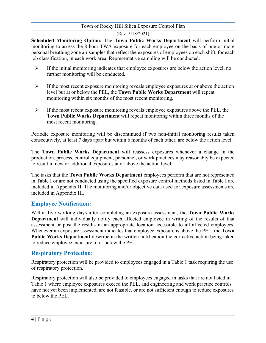### (Rev. 5/18/2021)

**Scheduled Monitoring Option:** The **Town Public Works Department** will perform initial monitoring to assess the 8-hour TWA exposure for each employee on the basis of one or more personal breathing zone air samples that reflect the exposures of employees on each shift, for each job classification, in each work area. Representative sampling will be conducted.

- $\triangleright$  If the initial monitoring indicates that employee exposures are below the action level, no further monitoring will be conducted.
- $\triangleright$  If the most recent exposure monitoring reveals employee exposures at or above the action level but at or below the PEL, the **Town Public Works Department** will repeat monitoring within six months of the most recent monitoring.
- $\triangleright$  If the most recent exposure monitoring reveals employee exposures above the PEL, the **Town Public Works Department** will repeat monitoring within three months of the most recent monitoring.

Periodic exposure monitoring will be discontinued if two non-initial monitoring results taken consecutively, at least 7 days apart but within 6 months of each other, are below the action level.

The **Town Public Works Department** will reassess exposures whenever a change in the production, process, control equipment, personnel, or work practices may reasonably be expected to result in new or additional exposures at or above the action level.

The tasks that the **Town Public Works Department** employees perform that are not represented in Table I or are not conducted using the specified exposure control methods listed in Table I are included in Appendix II. The monitoring and/or objective data used for exposure assessments are included in Appendix III.

# **Employee Notification:**

Within five working days after completing an exposure assessment, the **Town Public Works Department** will individually notify each affected employee in writing of the results of that assessment or post the results in an appropriate location accessible to all affected employees. Whenever an exposure assessment indicates that employee exposure is above the PEL, the **Town Public Works Department** describe in the written notification the corrective action being taken to reduce employee exposure to or below the PEL.

# **Respiratory Protection:**

Respiratory protection will be provided to employees engaged in a Table 1 task requiring the use of respiratory protection.

Respiratory protection will also be provided to employees engaged in tasks that are not listed in Table 1 where employee exposures exceed the PEL, and engineering and work practice controls have not yet been implemented, are not feasible, or are not sufficient enough to reduce exposures to below the PEL.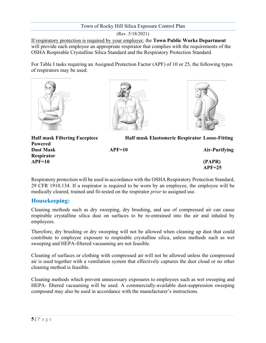(Rev. 5/18/2021)

If respiratory protection is required by your employer, the **Town Public Works Department**  will provide each employee an appropriate respirator that complies with the requirements of the OSHA Respirable Crystalline Silica Standard and the Respiratory Protection Standard.

For Table I tasks requiring an Assigned Protection Factor (APF) of 10 or 25, the following types of respirators may be used:



**Powered**

**Respirator**





**Half mask Filtering Facepiece Half mask Elastomeric Respirator Loose-Fitting** 

**Dust Mask APF=10 Air-Purifying** 

**APF=10 (PAPR) APF=25**

Respiratory protection will be used in accordance with the OSHA Respiratory Protection Standard, 29 CFR 1910.134. If a respirator is required to be worn by an employee, the employee will be medically cleared, trained and fit-tested on the respirator *prior* to assigned use.

# **Housekeeping:**

Cleaning methods such as dry sweeping, dry brushing, and use of compressed air can cause respirable crystalline silica dust on surfaces to be re-entrained into the air and inhaled by employees.

Therefore, dry brushing or dry sweeping will not be allowed when cleaning up dust that could contribute to employee exposure to respirable crystalline silica, unless methods such as wet sweeping and HEPA-filtered vacuuming are not feasible.

Cleaning of surfaces or clothing with compressed air will not be allowed unless the compressed air is used together with a ventilation system that effectively captures the dust cloud or no other cleaning method is feasible.

Cleaning methods which prevent unnecessary exposures to employees such as wet sweeping and HEPA- filtered vacuuming will be used. A commercially-available dust-suppression sweeping compound may also be used in accordance with the manufacturer's instructions.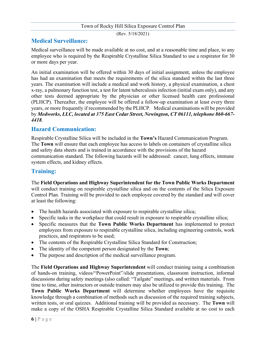(Rev. 5/18/2021)

# **Medical Surveillance:**

Medical surveillance will be made available at no cost, and at a reasonable time and place, to any employee who is required by the Respirable Crystalline Silica Standard to use a respirator for 30 or more days per year.

An initial examination will be offered within 30 days of initial assignment, unless the employee has had an examination that meets the requirements of the silica standard within the last three years. The examination will include a medical and work history, a physical examination, a chest x-ray, a pulmonary function test, a test for latent tuberculosis infection (initial exam only), and any other tests deemed appropriate by the physician or other licensed health care professional (PLHCP). Thereafter, the employee will be offered a follow-up examination at least every three years, or more frequently if recommended by the PLHCP. Medical examinations will be provided by *Medworks, LLC, located at 375 East Cedar Street, Newington, CT 06111, telephone 860-667- 4418*.

### **Hazard Communication:**

Respirable Crystalline Silica will be included in the **Town's** Hazard Communication Program. The **Town** will ensure that each employee has access to labels on containers of crystalline silica and safety data sheets and is trained in accordance with the provisions of the hazard communication standard. The following hazards will be addressed: cancer, lung effects, immune system effects, and kidney effects.

# **Training:**

The **Field Operations and Highway Superintendent for the Town Public Works Department** will conduct training on respirable crystalline silica and on the contents of the Silica Exposure Control Plan. Training will be provided to each employee covered by the standard and will cover at least the following:

- The health hazards associated with exposure to respirable crystalline silica;
- Specific tasks in the workplace that could result in exposure to respirable crystalline silica;
- Specific measures that the **Town Public Works Department** has implemented to protect employees from exposure to respirable crystalline silica, including engineering controls, work practices, and respirators to be used;
- The contents of the Respirable Crystalline Silica Standard for Construction;
- The identity of the competent person designated by the **Town**;
- The purpose and description of the medical surveillance program.

The **Field Operations and Highway Superintendent** will conduct training using a combination of hands-on training, videos/"PowerPoint"/slide presentations, classroom instruction, informal discussions during safety meetings (also called: "Tailgate" meetings, and written materials. From time to time, other instructors or outside trainers may also be utilized to provide this training. The **Town Public Works Department** will determine whether employees have the requisite knowledge through a combination of methods such as discussion of the required training subjects, written tests, or oral quizzes. Additional training will be provided as necessary. The **Town** will make a copy of the OSHA Respirable Crystalline Silica Standard available at no cost to each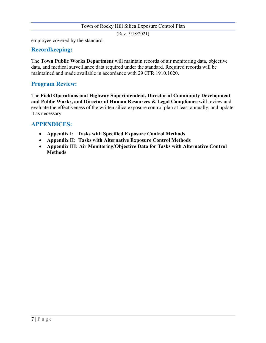(Rev. 5/18/2021)

employee covered by the standard.

# **Recordkeeping:**

The **Town Public Works Department** will maintain records of air monitoring data, objective data, and medical surveillance data required under the standard. Required records will be maintained and made available in accordance with 29 CFR 1910.1020.

# **Program Review:**

The **Field Operations and Highway Superintendent, Director of Community Development and Public Works, and Director of Human Resources & Legal Compliance** will review and evaluate the effectiveness of the written silica exposure control plan at least annually, and update it as necessary.

# **APPENDICES:**

- **Appendix I: Tasks with Specified Exposure Control Methods**
- **Appendix II: Tasks with Alternative Exposure Control Methods**
- **Appendix III: Air Monitoring/Objective Data for Tasks with Alternative Control Methods**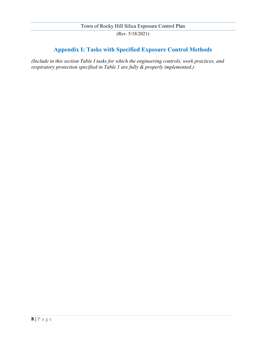# **Appendix I: Tasks with Specified Exposure Control Methods**

*(Include in this section Table I tasks for which the engineering controls, work practices, and respiratory protection specified in Table 1 are fully & properly implemented.)*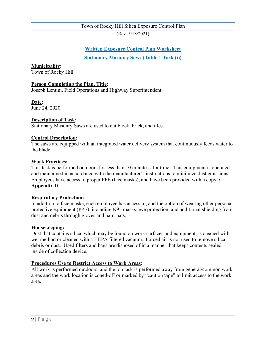(Rev. 5/18/2021)

# **Written Exposure Control Plan Worksheet**

**Stationary Masonry Saws (Table 1 Task (i))**

**Municipality:**

Town of Rocky Hill

#### **Person Completing the Plan, Title:**

Joseph Lentini, Field Operations and Highway Superintendent

**Date:**

June 24, 2020

#### **Description of Task:**

Stationary Masonry Saws are used to cut block, brick, and tiles.

#### **Control Description:**

The saws are equipped with an integrated water delivery system that continuously feeds water to the blade.

#### **Work Practices:**

This task is performed outdoors for less than 10 minutes-at-a-time. This equipment is operated and maintained in accordance with the manufacturer's instructions to minimize dust emissions. Employees have access to proper PPE (face masks), and have been provided with a copy of **Appendix D**.

#### **Respiratory Protection:**

In addition to face masks, each employee has access to, and the option of wearing other personal protective equipment (PPE), including N95 masks, eye protection, and additional shielding from dust and debris through gloves and hard-hats.

#### **Housekeeping:**

Dust that contains silica, which may be found on work surfaces and equipment, is cleaned with wet method or cleaned with a HEPA filtered vacuum. Forced air is not used to remove silica debris or dust. Used filters and bags are disposed of in a manner that keeps contents sealed inside of collection device.

#### **Procedures Use to Restrict Access to Work Areas:**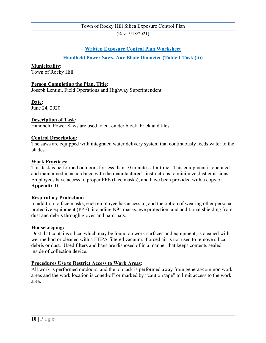(Rev. 5/18/2021)

# **Written Exposure Control Plan Worksheet**

### **Handheld Power Saws, Any Blade Diameter (Table 1 Task (ii))**

#### **Municipality:**

Town of Rocky Hill

#### **Person Completing the Plan, Title:**

Joseph Lentini, Field Operations and Highway Superintendent

#### **Date:**

June 24, 2020

#### **Description of Task:**

Handheld Power Saws are used to cut cinder block, brick and tiles.

#### **Control Description:**

The saws are equipped with integrated water delivery system that continuously feeds water to the blades.

#### **Work Practices:**

This task is performed outdoors for less than 10 minutes-at-a-time. This equipment is operated and maintained in accordance with the manufacturer's instructions to minimize dust emissions. Employees have access to proper PPE (face masks), and have been provided with a copy of **Appendix D**.

#### **Respiratory Protection:**

In addition to face masks, each employee has access to, and the option of wearing other personal protective equipment (PPE), including N95 masks, eye protection, and additional shielding from dust and debris through gloves and hard-hats.

#### **Housekeeping:**

Dust that contains silica, which may be found on work surfaces and equipment, is cleaned with wet method or cleaned with a HEPA filtered vacuum. Forced air is not used to remove silica debris or dust. Used filters and bags are disposed of in a manner that keeps contents sealed inside of collection device.

#### **Procedures Use to Restrict Access to Work Areas:**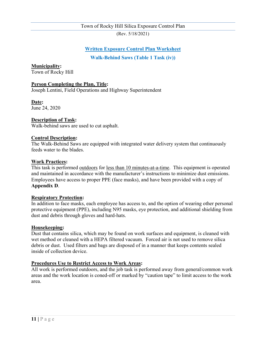(Rev. 5/18/2021)

### **Written Exposure Control Plan Worksheet**

**Walk-Behind Saws (Table 1 Task (iv))**

**Municipality:**

Town of Rocky Hill

#### **Person Completing the Plan, Title:**

Joseph Lentini, Field Operations and Highway Superintendent

**Date:**

June 24, 2020

#### **Description of Task:**

Walk-behind saws are used to cut asphalt.

#### **Control Description:**

The Walk-Behind Saws are equipped with integrated water delivery system that continuously feeds water to the blades.

#### **Work Practices:**

This task is performed outdoors for less than 10 minutes-at-a-time. This equipment is operated and maintained in accordance with the manufacturer's instructions to minimize dust emissions. Employees have access to proper PPE (face masks), and have been provided with a copy of **Appendix D**.

#### **Respiratory Protection:**

In addition to face masks, each employee has access to, and the option of wearing other personal protective equipment (PPE), including N95 masks, eye protection, and additional shielding from dust and debris through gloves and hard-hats.

#### **Housekeeping:**

Dust that contains silica, which may be found on work surfaces and equipment, is cleaned with wet method or cleaned with a HEPA filtered vacuum. Forced air is not used to remove silica debris or dust. Used filters and bags are disposed of in a manner that keeps contents sealed inside of collection device.

#### **Procedures Use to Restrict Access to Work Areas:**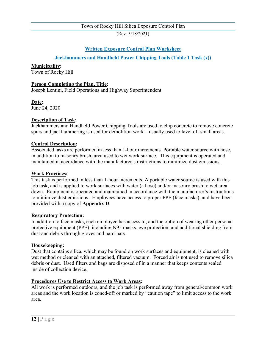(Rev. 5/18/2021)

# **Written Exposure Control Plan Worksheet**

### **Jackhammers and Handheld Power Chipping Tools (Table 1 Task (x))**

#### **Municipality:**

Town of Rocky Hill

#### **Person Completing the Plan, Title:**

Joseph Lentini, Field Operations and Highway Superintendent

#### **Date:**

June 24, 2020

#### **Description of Task:**

Jackhammers and Handheld Power Chipping Tools are used to chip concrete to remove concrete spurs and jackhammering is used for demolition work—usually used to level off small areas.

#### **Control Description:**

Associated tasks are performed in less than 1-hour increments. Portable water source with hose, in addition to masonry brush, area used to wet work surface. This equipment is operated and maintained in accordance with the manufacturer's instructions to minimize dust emissions.

#### **Work Practices:**

This task is performed in less than 1-hour increments. A portable water source is used with this job task, and is applied to work surfaces with water (a hose) and/or masonry brush to wet area down. Equipment is operated and maintained in accordance with the manufacturer's instructions to minimize dust emissions. Employees have access to proper PPE (face masks), and have been provided with a copy of **Appendix D**.

#### **Respiratory Protection:**

In addition to face masks, each employee has access to, and the option of wearing other personal protective equipment (PPE), including N95 masks, eye protection, and additional shielding from dust and debris through gloves and hard-hats.

#### **Housekeeping:**

Dust that contains silica, which may be found on work surfaces and equipment, is cleaned with wet method or cleaned with an attached, filtered vacuum. Forced air is not used to remove silica debris or dust. Used filters and bags are disposed of in a manner that keeps contents sealed inside of collection device.

#### **Procedures Use to Restrict Access to Work Areas:**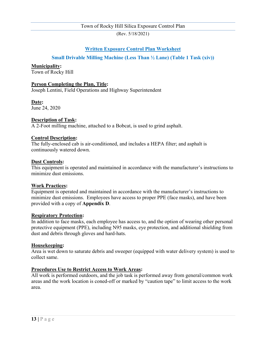(Rev. 5/18/2021)

### **Written Exposure Control Plan Worksheet**

### **Small Drivable Milling Machine (Less Than ½ Lane) (Table 1 Task (xiv))**

#### **Municipality:**

Town of Rocky Hill

#### **Person Completing the Plan, Title:**

Joseph Lentini, Field Operations and Highway Superintendent

#### **Date:**

June 24, 2020

#### **Description of Task:**

A 2-Foot milling machine, attached to a Bobcat, is used to grind asphalt.

#### **Control Description:**

The fully-enclosed cab is air-conditioned, and includes a HEPA filter; and asphalt is continuously watered down.

#### **Dust Controls:**

This equipment is operated and maintained in accordance with the manufacturer's instructions to minimize dust emissions.

#### **Work Practices:**

Equipment is operated and maintained in accordance with the manufacturer's instructions to minimize dust emissions. Employees have access to proper PPE (face masks), and have been provided with a copy of **Appendix D**.

#### **Respiratory Protection:**

In addition to face masks, each employee has access to, and the option of wearing other personal protective equipment (PPE), including N95 masks, eye protection, and additional shielding from dust and debris through gloves and hard-hats.

#### **Housekeeping:**

Area is wet down to saturate debris and sweeper (equipped with water delivery system) is used to collect same.

#### **Procedures Use to Restrict Access to Work Areas:**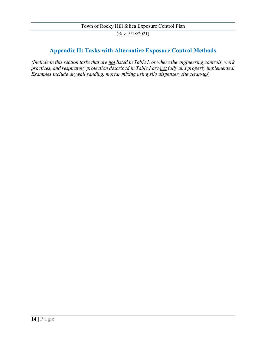# **Appendix II: Tasks with Alternative Exposure Control Methods**

*(Include in this section tasks that are not listed in Table I, or where the engineering controls, work practices, and respiratory protection described in Table I are not fully and properly implemented. Examples include drywall sanding, mortar mixing using silo dispenser, site clean-up*)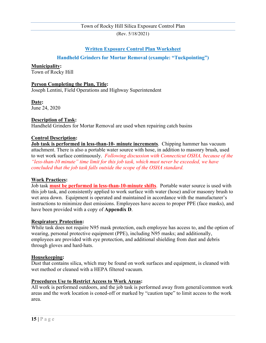(Rev. 5/18/2021)

# **Written Exposure Control Plan Worksheet**

### **Handheld Grinders for Mortar Removal (example: "Tuckpointing")**

#### **Municipality:**

Town of Rocky Hill

#### **Person Completing the Plan, Title:**

Joseph Lentini, Field Operations and Highway Superintendent

#### **Date:**

June 24, 2020

#### **Description of Task:**

Handheld Grinders for Mortar Removal are used when repairing catch basins

#### **Control Description:**

**Job task is performed in less-than-10- minute increments**. Chipping hammer has vacuum attachment. There is also a portable water source with hose, in addition to masonry brush, used to wet work surface continuously. *Following discussion with Connecticut OSHA, because of the "less-than-10 minute" time limit for this job task, which must never be exceeded, we have concluded that the job task falls outside the scope of the OSHA standard.*

#### **Work Practices:**

Job task **must be performed in less-than-10-minute shifts**. Portable water source is used with this job task, and consistently applied to work surface with water (hose) and/or masonry brush to wet area down. Equipment is operated and maintained in accordance with the manufacturer's instructions to minimize dust emissions. Employees have access to proper PPE (face masks), and have been provided with a copy of **Appendix D**.

#### **Respiratory Protection:**

While task does not require N95 mask protection, each employee has access to, and the option of wearing, personal protective equipment (PPE), including N95 masks; and additionally, employees are provided with eye protection, and additional shielding from dust and debris through gloves and hard-hats.

#### **Housekeeping:**

Dust that contains silica, which may be found on work surfaces and equipment, is cleaned with wet method or cleaned with a HEPA filtered vacuum.

#### **Procedures Use to Restrict Access to Work Areas:**